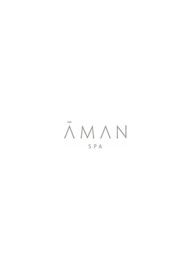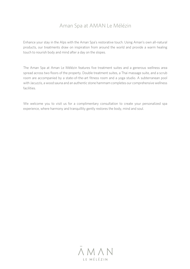## Aman Spa at AMAN Le Mélézin

Enhance your stay in the Alps with the Aman Spa's restorative touch. Using Aman's own all-natural products, our treatments draw on inspiration from around the world and provide a warm healing touch to nourish body and mind after a day on the slopes.

The Aman Spa at Aman Le Mélézin features five treatment suites and a generous wellness area spread across two floors of the property. Double treatment suites, a Thai massage suite, and a scrub room are accompanied by a state-of-the-art fitness room and a yoga studio. A subterranean pool with Jacuzzis, a wood sauna and an authentic stone hammam completes our comprehensive wellness facilities.

We welcome you to visit us for a complimentary consultation to create your personalized spa experience, where harmony and tranquillity gently restores the body, mind and soul.

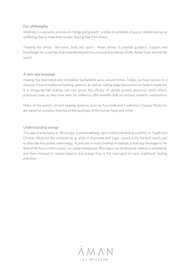#### Our philosophy

Wellness is a dynamic process of change and growth – a state of complete physical, mental and social wellbeing that is more than simply staying free from illness.

Treating the whole - the mind, body and spirit - Aman strives to provide guidance, support and knowledge for a journey that extends beyond the physical boundaries of the Aman Spas around the world.

#### A new spa language

Healing has fascinated and compelled humankind since ancient times. Today, we have access to a treasure trove of traditional healing systems, as well as cutting-edge discoveries in modern medicine. It is intriguing that science can now prove the efficacy of certain ancient practices, while others, practiced today as they have been for millennia, offer benefits that are without scientific explanation.

Many of the world's ancient healing systems, such as Ayurveda and Traditional Chinese Medicine, are based on complex theories of the workings of the human body and mind.

#### Understanding energy

The idea of a life force, or life energy, is shared among many traditional healing systems. In Traditional Chinese Medicine this is known as qi, while in Ayurveda and Yoga – prana is the Sanskrit word used to describe this potent vital energy. A principle in many healing modalities is that any blockage to the flow of life force within a body can cause imbalances. Blockages can be physical, mental or emotional, and their removal to restore balance and energy flow is the main goal of many traditional healing practices.

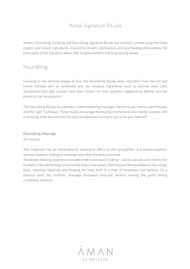# Aman Signature Rituals

Aman's Grounding, Purifying and Nourishing Signature Rituals are carefully curated using the finest organic and natural ingredients. Inspired by Aman's destinations and local healing philosophies, the three parts of the Signature Menu offer tangible benefits and long-lasting results.

### Nourishing

Focusing on the spiritual energy of love, the Nourishing Rituals draw inspiration from the hot and humid climates akin to rainforests and rice terraces. Ingredients such as jasmine stem cells, sandalwood and jade crystals have been chosen for their powerful regenerating abilities and are known to fuel recuperation.

The Nourishing Rituals incorporate a chakra balancing massage, mantra music, marma point therapy and the Light Technique. These rituals encourage the healing of emotional and mental wounds with a nurturing embrace and hold the spirit of adventure to inspire you to be your best self.

Nourishing Massage 90 minutes

This treatment has an extraordinarily restorative effect on the sympathetic and parasympathetic nervous systems, helping to recharge and refuel the body and mind.

The deeply relaxing experience includes chakra and sound healing - said to activate and channel the Kundalini (dormant energy stored at the base of the spine). Marma point therapy balances the energy body, releasing negativity and bringing the body back to a state of awareness and balance. On a physical level, the rhythmic massage dissipates muscular tension, leaving the guest feeling completely restored.

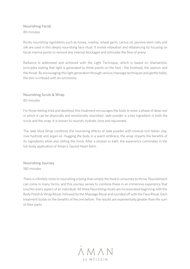Nourishing Facial 80 minutes

Richly nourishing ingredients such as honey, rosehip, wheat germ, cactus oil, jasmine stem cells and silk are used in this deeply nourishing face ritual. It invites relaxation and rebalancing by focusing on facial marma points to remove any internal blockages and stimulate the flow of prana.

Radiance is addressed and achieved with the Light Technique, which is based on shamanistic principles stating that light is generated by three points on the face - the forehead, the septum and the throat. By encouraging this light generation through various massage techniques and gentle holds, the skin is imbued with an luminosity.

Nourishing Scrub & Wrap 80 minutes

For those feeling tired and depleted, this treatment encourages the body to enter a phase of deep rest in which it can be physically and emotionally nourished. Jade powder is a key ingredient in both the scrub and the wrap. It is known to nourish, hydrate, tone and rejuvenate.

The Jade Mud Wrap combines the nourishing effects of Jade powder with mineral-rich Italian clay, rose hydrolat and argan oil. Hugging the body in a warm embrace, the wrap imparts the benefits of its ingredients while also stilling the mind. After a shower or bath, the experience culminates in the full-body application of Aman's Sacred Heart Balm.

Nourishing Journey 180 minutes

There is infinitely more to nourishing a being than simply the food it consumes to thrive. Nourishment can come in many forms, and this journey serves to combine these in an immersive experience that touches every aspect of an individual. All three Nourishing rituals are incorporated beginning with the Body Polish & Wrap Ritual, followed by the Massage Ritual and rounded off with the Face Ritual. Each treatment builds on the benefits of the one before. The results are exponentially greater than the sum of their parts.

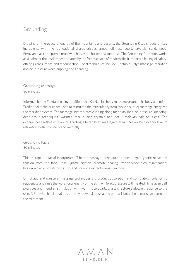# Grounding

Drawing on the peaceful energy of the mountains and deserts, the Grounding Rituals focus on key ingredients with the foundational characteristics: amber oil, rose quartz crystals, sandalwood, Peruvian black and purple mud, wild harvested butter and tuberose. The Grounding formation works as a balm for the restlessness created by the frenetic pace of modern life. It imparts a feeling of safety, offering reassurance and reconnection. Focal techniques include Tibetan Ku Nye massage, meridian and acupressure work, cupping and kneading.

### Grounding Massage 80 minutes

Informed by the Tibetan healing traditions this Ku Nye full body massage grounds the body and mind. Traditional techniques are used to stimulate the muscular system, while a subtler massage energizes the meridian system. The massage incorporates cupping along meridian lines, acupressure, kneading, deep-tissue techniques, warmed rose quartz crystals and hot Himalayan salt poultices. The experiences finishes with an invigorating Tibetan head massage that induces an even deeper level of relaxation both physically and mentally.

Grounding Facial 80 minutes

This therapeutic facial incorporates Tibetan massage techniques to encourage a gentle release of tension from the face. Rose Quartz crystals promote healing, frankincense aids rejuvenation, hyaluronic acid boosts hydration, and liquorice extract evens skin tone.

Lymphatic and muscular massage techniques aid product absorption and stimulate circulation to rejuvenate and raise the vibrational energy of the skin, while acupressure with heated Himalayan Salt poultices and meridian stimulation with warm rose quartz crystals restore a glowing radiance to the skin. A Peruvian black mud and amethyst crystal mask along with a Tibetan head massage complete the treatment.

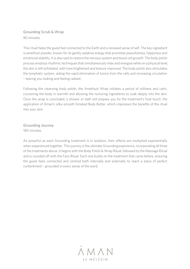### Grounding Scrub & Wrap 80 minutes

This ritual helps the guest feel connected to the Earth and a renewed sense of self. The key ingredient is amethyst powder, known for its gently sedative energy that promotes peacefulness, happiness and emotional stability. It is also said to restore the nervous system and boost cell growth. The body polish process employs rhythmic techniques that simultaneously relax and energise while on a physical level, the skin is left exfoliated, with tone brightened and texture improved. The body polish also stimulates the lymphatic system, aiding the rapid elimination of toxins from the cells and increasing circulation – leaving you looking and feeling radiant.

Following the cleansing body polish, the Amethyst Wrap initiates a period of stillness and calm, cocooning the body in warmth and allowing the nurturing ingredients to soak deeply into the skin. Once the wrap is concluded, a shower or bath will prepare you for the treatment's final touch: the application of Aman's silky-smooth Smoked Body Butter, which impresses the benefits of the ritual into your skin.

Grounding Journey 180 minutes

As powerful as each Grounding treatment is in isolation, their effects are multiplied exponentially when experienced together. This journey is the ultimate Grounding experience, incorporating all three of the treatments above. It begins with the Body Polish & Wrap Ritual, followed by the Massage Ritual and is rounded off with the Face Ritual. Each one builds on the treatment that came before, ensuring the guest feels connected and centred both internally and externally to reach a place of perfect contentment – grounded in every sense of the word.

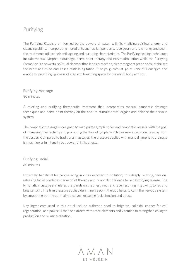## Purifying

The Purifying Rituals are informed by the powers of water, with its vitalising spiritual energy and cleansing ability. Incorporating ingredients such as juniper berry, rose geranium, raw honey and pearl, the treatments utilise their anti-ageing and nurturing characteristics. The Purifying healing techniques include manual lymphatic drainage, nerve point therapy and nerve stimulation while the Purifying Formation is a powerful spiritual cleanser than lends protection, clears stagnant prana or chi, stabilises the heart and mind and eases restless agitation. It helps guests let go of unhelpful energies and emotions, providing lightness of step and breathing space for the mind, body and soul.

Purifying Massage 80 minutes

A relaxing and purifying therapeutic treatment that incorporates manual lymphatic drainage techniques and nerve point therapy on the back to stimulate vital organs and balance the nervous system.

The lymphatic massage is designed to manipulate lymph nodes and lymphatic vessels, with the goal of increasing their activity and promoting the flow of lymph, which carries waste products away from the tissues. Compared to traditional massages, the pressure applied with manual lymphatic drainage is much lower in intensity but powerful in its effects.

Purifying Facial 80 minutes

Extremely beneficial for people living in cities exposed to pollution, this deeply relaxing, tensionreleasing facial combines nerve point therapy and lymphatic drainage for a detoxifying release. The lymphatic massage stimulates the glands on the chest, neck and face, resulting in glowing, toned and brighter skin. The firm pressure applied during nerve point therapy helps to calm the nervous system by smoothing out the ophthalmic nerves, releasing facial tension and stress.

Key ingredients used in this ritual include authentic pearl to brighten, colloidal copper for cell regeneration, and powerful marine extracts with trace elements and vitamins to strengthen collagen production and re-mineralisation.

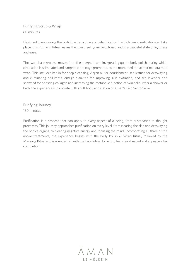Purifying Scrub & Wrap 80 minutes

Designed to encourage the body to enter a phase of detoxification in which deep purification can take place, this Purifying Ritual leaves the guest feeling revived, toned and in a peaceful state of lightness and ease.

The two-phase process moves from the energetic and invigorating quartz body polish, during which circulation is stimulated and lymphatic drainage promoted, to the more meditative marine flora mud wrap. This includes kaolin for deep cleansing, Argan oil for nourishment, sea lettuce for detoxifying and eliminating pollutants, omega plankton for improving skin hydration, and sea lavender and seaweed for boosting collagen and increasing the metabolic function of skin cells. After a shower or bath, the experience is complete with a full-body application of Aman's Palo Santo Salve.

Purifying Journey 180 minutes

Purification is a process that can apply to every aspect of a being, from sustenance to thought processes. This journey approaches purification on every level, from clearing the skin and detoxifying the body's organs, to clearing negative energy and focusing the mind. Incorporating all three of the above treatments, the experience begins with the Body Polish & Wrap Ritual, followed by the Massage Ritual and is rounded off with the Face Ritual. Expect to feel clear-headed and at peace after completion.

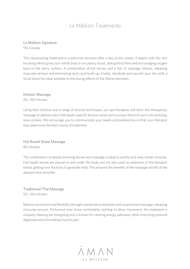# Le Mélézin Treatments

#### Le Mélézin Signature 110 minutes

This rejuvenating treatment is a welcome recovery after a day on the slopes. It begins with dry skin brushing which gives your whole body a circulatory boost, aiding blood flow and encouraging oxygen back to the skin's surface. A combination of hot stones and a hot oil massage follows, releasing muscular tension and eliminating lactic acid build-up. Finally, rehydrate and nourish your skin with a facial boost the ideal antidote to the drying effects of the Alpine elements.

Holistic Massage 50 / 80 minutes

Using their intuition and a range of diverse techniques, our spa therapists will tailor this therapeutic massage to address each individual's specific tension areas with a unique blend of warm oils and long, slow strokes. We encourage you to communicate your needs and preferences so that your therapist may determine the best course of treatment.

Hot Basalt Stone Massage 80 minutes

The combination of deeply warming stones and massage is ideal to soothe and relax tender muscles. Hot basalt stones are placed on and under the body and are also used as extension of the therapist hands, gliding over the body to generate heat. This ensures the benefits of the massage are felt at the deepest level possible.

Traditional Thai Massage 50 / 80 minutes

Restore movement and flexibility through manipulative stretches and acupressure massage, releasing muscular tension. Performed over loose comfortable clothing to allow movement, the treatment is uniquely relaxing yet energising and is known for clearing energy pathways while improving postural alignment and eliminating muscle pain.

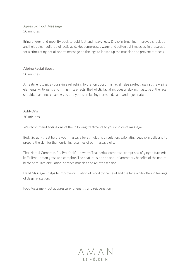#### Après Ski Foot Massage 50 minutes

Bring energy and mobility back to cold feet and heavy legs. Dry skin brushing improves circulation and helps clear build-up of lactic acid. Hot compresses warm and soften tight muscles, in preparation for a stimulating hot oil sports massage on the legs to loosen up the muscles and prevent stiffness.

### Alpine Facial Boost

50 minutes

A treatment to give your skin a refreshing hydration boost, this facial helps protect against the Alpine elements. Anti-aging and lifting in its effects, the holistic facial includes a relaxing massage of the face, shoulders and neck leaving you and your skin feeling refreshed, calm and rejuvenated.

#### Add-Ons

30 minutes

We recommend adding one of the following treatments to your choice of massage:

Body Scrub – great before your massage for stimulating circulation, exfoliating dead skin cells and to prepare the skin for the nourishing qualities of our massage oils.

Thai Herbal Compress (Lu Pra Khob) – a warm Thai herbal compress, comprised of ginger, turmeric, kaffir lime, lemon grass and camphor. The heat infusion and anti-inflammatory benefits of the natural herbs stimulate circulation, soothes muscles and relieves tension.

Head Massage - helps to improve circulation of blood to the head and the face while offering feelings of deep relaxation.

Foot Massage - foot acupressure for energy and rejuvenation

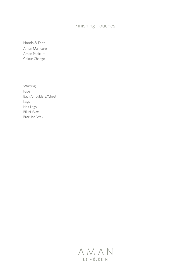# Finishing Touches

Hands & Feet Aman Manicure Aman Pedicure Colour Change

Waxing Face Back/Shoulders/Chest Legs Half Legs Bikini Wax Brazilian Wax

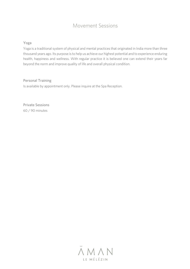## Movement Sessions

#### Yoga

Yoga is a traditional system of physical and mental practices that originated in India more than three thousand years ago. Its purpose is to help us achieve our highest potential and to experience enduring health, happiness and wellness. With regular practice it is believed one can extend their years far beyond the norm and improve quality of life and overall physical condition.

#### Personal Training

Is available by appointment only. Please inquire at the Spa Reception.

Private Sessions 60 / 90 minutes

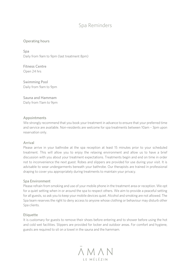### Spa Reminders

#### Operating hours

Spa Daily from 9am to 9pm (last treatment 8pm)

Fitness Centre Open 24 hrs

Swimming Pool Daily from 9am to 9pm

Sauna and Hammam Daily from 11am to 9pm

#### Appointments

We strongly recommend that you book your treatment in advance to ensure that your preferred time and service are available. Non-residents are welcome for spa treatments between 10am – 3pm upon reservation only.

#### Arrival

Please arrive in your bathrobe at the spa reception at least 15 minutes prior to your scheduled treatment. This will allow you to enjoy the relaxing environment and allow us to have a brief discussion with you about your treatment expectations. Treatments begin and end on time in order not to inconvenience the next guest. Robes and slippers are provided for use during your visit. It is advisable to wear undergarments beneath your bathrobe. Our therapists are trained in professional draping to cover you appropriately during treatments to maintain your privacy.

#### Spa Environment

Please refrain from smoking and use of your mobile phone in the treatment area or reception. We opt for a quiet setting when in or around the spa to respect others. We aim to provide a peaceful setting for all guests, so ask you to keep your mobile devices quiet. Alcohol and smoking are not allowed. The Spa team reserves the right to deny access to anyone whose clothing or behaviour may disturb other Spa clients.

#### **Etiquette**

It is customary for guests to remove their shoes before entering and to shower before using the hot and cold wet facilities. Slippers are provided for locker and outdoor areas. For comfort and hygiene, guests are required to sit on a towel in the sauna and the hammam.

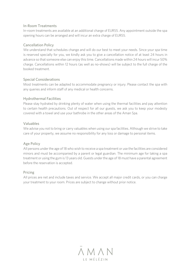#### In-Room Treatments

In-room treatments are available at an additional charge of EUR55. Any appointment outside the spa opening hours can be arranged and will incur an extra charge of EUR55.

#### Cancellation Policy

We understand that schedules change and will do our best to meet your needs. Since your spa time is reserved specially for you, we kindly ask you to give a cancellation notice of at least 24 hours in advance so that someone else can enjoy this time. Cancellations made within 24 hours will incur 50% charge. Cancellations within 12 hours (as well as no-shows) will be subject to the full charge of the booked treatment.

#### Special Considerations

Most treatments can be adapted to accommodate pregnancy or injury. Please contact the spa with any queries and inform staff of any medical or health concerns.

#### Hydrothermal Facilities

Please stay hydrated by drinking plenty of water when using the thermal facilities and pay attention to certain health precautions. Out of respect for all our guests, we ask you to keep your modesty covered with a towel and use your bathrobe in the other areas of the Aman Spa.

#### Valuables

We advise you not to bring or carry valuables when using our spa facilities. Although we strive to take care of your property, we assume no responsibility for any loss or damage to personal items.

#### Age Policy

All persons under the age of 18 who wish to receive a spa treatment or use the facilities are considered minors and must be accompanied by a parent or legal guardian. The minimum age for taking a spa treatment or using the gym is 13 years old. Guests under the age of 18 must have a parental agreement before the reservation is accepted.

#### Pricing

All prices are net and include taxes and service. We accept all major credit cards, or you can charge your treatment to your room. Prices are subject to change without prior notice.